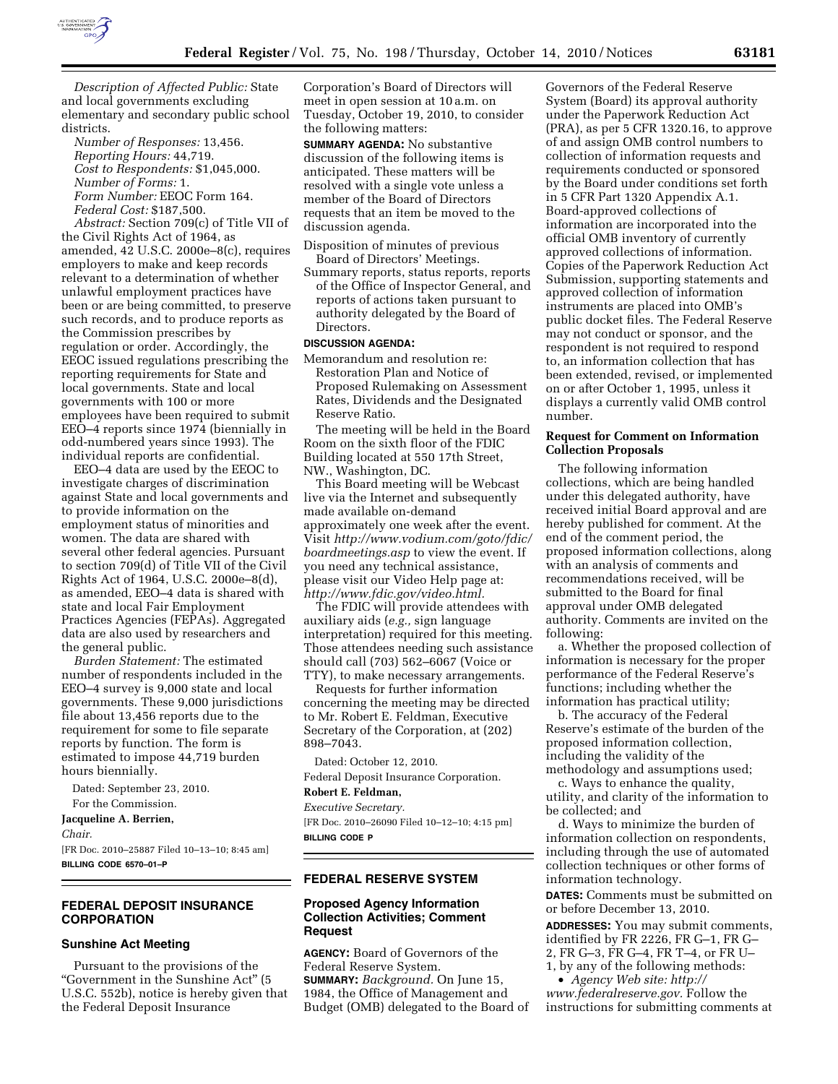

*Description of Affected Public:* State and local governments excluding elementary and secondary public school districts.

*Number of Responses:* 13,456. *Reporting Hours:* 44,719. *Cost to Respondents:* \$1,045,000. *Number of Forms:* 1. *Form Number:* EEOC Form 164. *Federal Cost:* \$187,500.

*Abstract:* Section 709(c) of Title VII of the Civil Rights Act of 1964, as amended, 42 U.S.C. 2000e–8(c), requires employers to make and keep records relevant to a determination of whether unlawful employment practices have been or are being committed, to preserve such records, and to produce reports as the Commission prescribes by regulation or order. Accordingly, the EEOC issued regulations prescribing the reporting requirements for State and local governments. State and local governments with 100 or more employees have been required to submit EEO–4 reports since 1974 (biennially in odd-numbered years since 1993). The individual reports are confidential.

EEO–4 data are used by the EEOC to investigate charges of discrimination against State and local governments and to provide information on the employment status of minorities and women. The data are shared with several other federal agencies. Pursuant to section 709(d) of Title VII of the Civil Rights Act of 1964, U.S.C. 2000e–8(d), as amended, EEO–4 data is shared with state and local Fair Employment Practices Agencies (FEPAs). Aggregated data are also used by researchers and the general public.

*Burden Statement:* The estimated number of respondents included in the EEO–4 survey is 9,000 state and local governments. These 9,000 jurisdictions file about 13,456 reports due to the requirement for some to file separate reports by function. The form is estimated to impose 44,719 burden hours biennially.

Dated: September 23, 2010.

For the Commission.

**Jacqueline A. Berrien,**  *Chair.* 

[FR Doc. 2010–25887 Filed 10–13–10; 8:45 am] **BILLING CODE 6570–01–P** 

# **FEDERAL DEPOSIT INSURANCE CORPORATION**

## **Sunshine Act Meeting**

Pursuant to the provisions of the ''Government in the Sunshine Act'' (5 U.S.C. 552b), notice is hereby given that the Federal Deposit Insurance

Corporation's Board of Directors will meet in open session at 10 a.m. on Tuesday, October 19, 2010, to consider the following matters:

**SUMMARY AGENDA:** No substantive discussion of the following items is anticipated. These matters will be resolved with a single vote unless a member of the Board of Directors requests that an item be moved to the discussion agenda.

- Disposition of minutes of previous Board of Directors' Meetings.
- Summary reports, status reports, reports of the Office of Inspector General, and reports of actions taken pursuant to authority delegated by the Board of Directors.

## **DISCUSSION AGENDA:**

Memorandum and resolution re: Restoration Plan and Notice of Proposed Rulemaking on Assessment Rates, Dividends and the Designated Reserve Ratio.

The meeting will be held in the Board Room on the sixth floor of the FDIC Building located at 550 17th Street, NW., Washington, DC.

This Board meeting will be Webcast live via the Internet and subsequently made available on-demand approximately one week after the event. Visit *[http://www.vodium.com/goto/fdic/](http://www.vodium.com/goto/fdic/boardmeetings.asp)  [boardmeetings.asp](http://www.vodium.com/goto/fdic/boardmeetings.asp)* to view the event. If you need any technical assistance, please visit our Video Help page at: *[http://www.fdic.gov/video.html.](http://www.fdic.gov/video.html)* 

The FDIC will provide attendees with auxiliary aids (*e.g.,* sign language interpretation) required for this meeting. Those attendees needing such assistance should call (703) 562–6067 (Voice or TTY), to make necessary arrangements.

Requests for further information concerning the meeting may be directed to Mr. Robert E. Feldman, Executive Secretary of the Corporation, at (202) 898–7043.

Dated: October 12, 2010.

Federal Deposit Insurance Corporation.

# **Robert E. Feldman,**

*Executive Secretary.*  [FR Doc. 2010–26090 Filed 10–12–10; 4:15 pm] **BILLING CODE P** 

# **FEDERAL RESERVE SYSTEM**

## **Proposed Agency Information Collection Activities; Comment Request**

**AGENCY:** Board of Governors of the Federal Reserve System. **SUMMARY:** *Background.* On June 15, 1984, the Office of Management and Budget (OMB) delegated to the Board of

Governors of the Federal Reserve System (Board) its approval authority under the Paperwork Reduction Act (PRA), as per 5 CFR 1320.16, to approve of and assign OMB control numbers to collection of information requests and requirements conducted or sponsored by the Board under conditions set forth in 5 CFR Part 1320 Appendix A.1. Board-approved collections of information are incorporated into the official OMB inventory of currently approved collections of information. Copies of the Paperwork Reduction Act Submission, supporting statements and approved collection of information instruments are placed into OMB's public docket files. The Federal Reserve may not conduct or sponsor, and the respondent is not required to respond to, an information collection that has been extended, revised, or implemented on or after October 1, 1995, unless it displays a currently valid OMB control number.

# **Request for Comment on Information Collection Proposals**

The following information collections, which are being handled under this delegated authority, have received initial Board approval and are hereby published for comment. At the end of the comment period, the proposed information collections, along with an analysis of comments and recommendations received, will be submitted to the Board for final approval under OMB delegated authority. Comments are invited on the following:

a. Whether the proposed collection of information is necessary for the proper performance of the Federal Reserve's functions; including whether the information has practical utility;

b. The accuracy of the Federal Reserve's estimate of the burden of the proposed information collection, including the validity of the methodology and assumptions used;

c. Ways to enhance the quality, utility, and clarity of the information to be collected; and

d. Ways to minimize the burden of information collection on respondents, including through the use of automated collection techniques or other forms of information technology.

**DATES:** Comments must be submitted on or before December 13, 2010.

**ADDRESSES:** You may submit comments, identified by FR 2226, FR G–1, FR G– 2, FR G–3, FR G–4, FR T–4, or FR U– 1, by any of the following methods:

• *Agency Web site: [http://](http://www.federalreserve.gov) [www.federalreserve.gov.](http://www.federalreserve.gov)* Follow the instructions for submitting comments at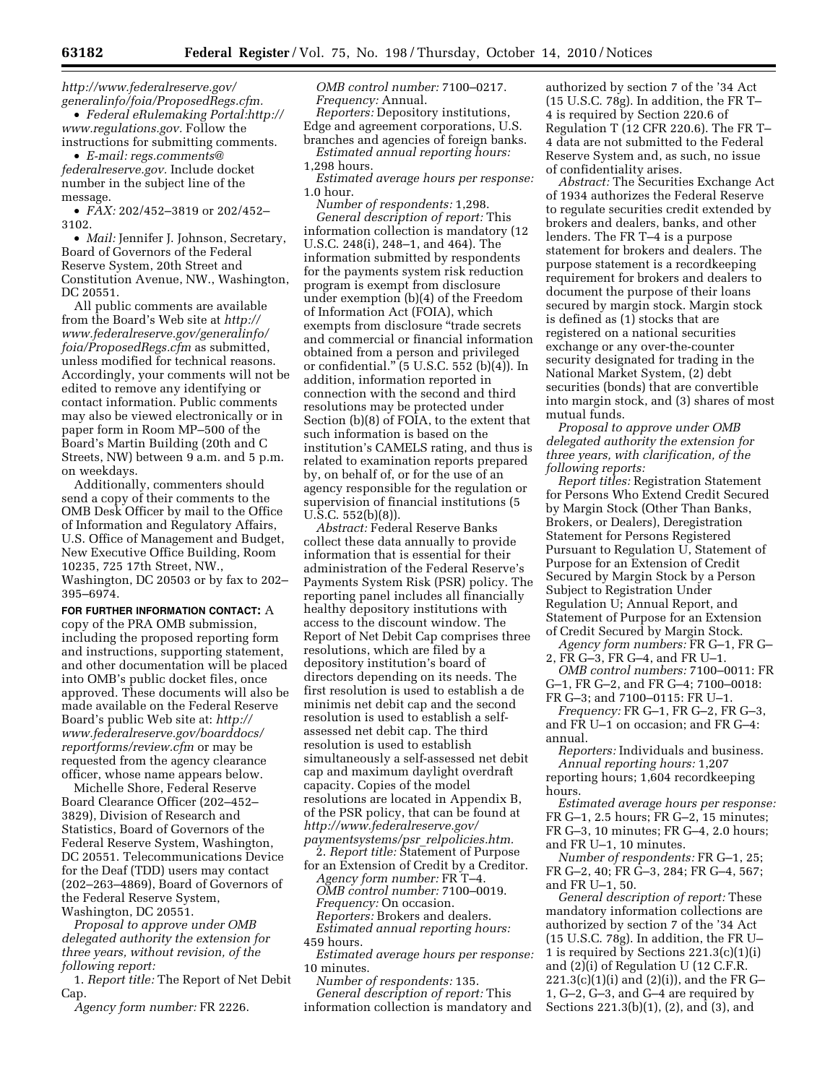*[http://www.federalreserve.gov/](http://www.federalreserve.gov/generalinfo/foia/ProposedRegs.cfm)  [generalinfo/foia/ProposedRegs.cfm.](http://www.federalreserve.gov/generalinfo/foia/ProposedRegs.cfm)* 

• *Federal eRulemaking Portal:[http://](http://www.regulations.gov) [www.regulations.gov.](http://www.regulations.gov)* Follow the instructions for submitting comments.

• *E-mail: [regs.comments@](mailto:regs.comments@federalreserve.gov) [federalreserve.gov.](mailto:regs.comments@federalreserve.gov)* Include docket number in the subject line of the message.

• *FAX:* 202/452–3819 or 202/452– 3102.

• *Mail:* Jennifer J. Johnson, Secretary, Board of Governors of the Federal Reserve System, 20th Street and Constitution Avenue, NW., Washington, DC 20551.

All public comments are available from the Board's Web site at *[http://](http://www.federalreserve.gov/generalinfo/foia/ProposedRegs.cfm) [www.federalreserve.gov/generalinfo/](http://www.federalreserve.gov/generalinfo/foia/ProposedRegs.cfm) [foia/ProposedRegs.cfm](http://www.federalreserve.gov/generalinfo/foia/ProposedRegs.cfm)* as submitted, unless modified for technical reasons. Accordingly, your comments will not be edited to remove any identifying or contact information. Public comments may also be viewed electronically or in paper form in Room MP–500 of the Board's Martin Building (20th and C Streets, NW) between 9 a.m. and 5 p.m. on weekdays.

Additionally, commenters should send a copy of their comments to the OMB Desk Officer by mail to the Office of Information and Regulatory Affairs, U.S. Office of Management and Budget, New Executive Office Building, Room 10235, 725 17th Street, NW., Washington, DC 20503 or by fax to 202– 395–6974.

**FOR FURTHER INFORMATION CONTACT:** A copy of the PRA OMB submission, including the proposed reporting form and instructions, supporting statement, and other documentation will be placed into OMB's public docket files, once approved. These documents will also be made available on the Federal Reserve Board's public Web site at: *[http://](http://www.federalreserve.gov/boarddocs/reportforms/review.cfm) [www.federalreserve.gov/boarddocs/](http://www.federalreserve.gov/boarddocs/reportforms/review.cfm)  [reportforms/review.cfm](http://www.federalreserve.gov/boarddocs/reportforms/review.cfm)* or may be requested from the agency clearance officer, whose name appears below.

Michelle Shore, Federal Reserve Board Clearance Officer (202–452– 3829), Division of Research and Statistics, Board of Governors of the Federal Reserve System, Washington, DC 20551. Telecommunications Device for the Deaf (TDD) users may contact (202–263–4869), Board of Governors of the Federal Reserve System, Washington, DC 20551.

*Proposal to approve under OMB delegated authority the extension for three years, without revision, of the following report:* 

1. *Report title:* The Report of Net Debit Cap.

*Agency form number:* FR 2226.

*OMB control number:* 7100–0217. *Frequency:* Annual.

*Reporters:* Depository institutions, Edge and agreement corporations, U.S. branches and agencies of foreign banks.

*Estimated annual reporting hours:*  1,298 hours.

*Estimated average hours per response:*  1.0 hour.

*Number of respondents:* 1,298. *General description of report:* This information collection is mandatory (12 U.S.C. 248(i), 248–1, and 464). The information submitted by respondents for the payments system risk reduction program is exempt from disclosure under exemption (b)(4) of the Freedom of Information Act (FOIA), which exempts from disclosure ''trade secrets and commercial or financial information obtained from a person and privileged or confidential."  $(5 \text{ U.S.C. } 552 \text{ (b)}(4))$ . In addition, information reported in connection with the second and third resolutions may be protected under Section (b)(8) of FOIA, to the extent that such information is based on the institution's CAMELS rating, and thus is related to examination reports prepared by, on behalf of, or for the use of an agency responsible for the regulation or supervision of financial institutions (5 U.S.C. 552(b)(8)).

*Abstract:* Federal Reserve Banks collect these data annually to provide information that is essential for their administration of the Federal Reserve's Payments System Risk (PSR) policy. The reporting panel includes all financially healthy depository institutions with access to the discount window. The Report of Net Debit Cap comprises three resolutions, which are filed by a depository institution's board of directors depending on its needs. The first resolution is used to establish a de minimis net debit cap and the second resolution is used to establish a selfassessed net debit cap. The third resolution is used to establish simultaneously a self-assessed net debit cap and maximum daylight overdraft capacity. Copies of the model resolutions are located in Appendix B, of the PSR policy, that can be found at *[http://www.federalreserve.gov/](http://www.federalreserve.gov/paymentsystems/psr_relpolicies.htm)  [paymentsystems/psr](http://www.federalreserve.gov/paymentsystems/psr_relpolicies.htm)*\_*relpolicies.htm.* 

2. *Report title:* Statement of Purpose

for an Extension of Credit by a Creditor. *Agency form number:* FR T–4. *OMB control number:* 7100–0019. *Frequency:* On occasion. *Reporters:* Brokers and dealers. *Estimated annual reporting hours:*  459 hours.

*Estimated average hours per response:*  10 minutes.

*Number of respondents:* 135. *General description of report:* This information collection is mandatory and authorized by section 7 of the '34 Act (15 U.S.C. 78g). In addition, the FR T– 4 is required by Section 220.6 of Regulation T (12 CFR 220.6). The FR T– 4 data are not submitted to the Federal Reserve System and, as such, no issue of confidentiality arises.

*Abstract:* The Securities Exchange Act of 1934 authorizes the Federal Reserve to regulate securities credit extended by brokers and dealers, banks, and other lenders. The FR T–4 is a purpose statement for brokers and dealers. The purpose statement is a recordkeeping requirement for brokers and dealers to document the purpose of their loans secured by margin stock. Margin stock is defined as (1) stocks that are registered on a national securities exchange or any over-the-counter security designated for trading in the National Market System, (2) debt securities (bonds) that are convertible into margin stock, and (3) shares of most mutual funds.

*Proposal to approve under OMB delegated authority the extension for three years, with clarification, of the following reports:* 

*Report titles:* Registration Statement for Persons Who Extend Credit Secured by Margin Stock (Other Than Banks, Brokers, or Dealers), Deregistration Statement for Persons Registered Pursuant to Regulation U, Statement of Purpose for an Extension of Credit Secured by Margin Stock by a Person Subject to Registration Under Regulation U; Annual Report, and Statement of Purpose for an Extension of Credit Secured by Margin Stock.

*Agency form numbers:* FR G–1, FR G– 2, FR G–3, FR G–4, and FR U–1.

*OMB control numbers:* 7100–0011: FR G–1, FR G–2, and FR G–4; 7100–0018: FR G–3; and 7100–0115: FR U–1.

*Frequency:* FR G–1, FR G–2, FR G–3, and FR U–1 on occasion; and FR G–4: annual.

*Reporters:* Individuals and business. *Annual reporting hours:* 1,207 reporting hours; 1,604 recordkeeping hours.

*Estimated average hours per response:*  FR G–1, 2.5 hours; FR G–2, 15 minutes; FR G–3, 10 minutes; FR G–4, 2.0 hours;

and FR U–1, 10 minutes.

*Number of respondents:* FR G–1, 25; FR G–2, 40; FR G–3, 284; FR G–4, 567; and FR U–1, 50.

*General description of report:* These mandatory information collections are authorized by section 7 of the '34 Act (15 U.S.C. 78g). In addition, the FR U– 1 is required by Sections 221.3(c)(1)(i) and (2)(i) of Regulation U (12 C.F.R.  $221.3(c)(1)(i)$  and  $(2)(i)$ ), and the FR G-1, G–2, G–3, and G–4 are required by Sections 221.3(b)(1), (2), and (3), and